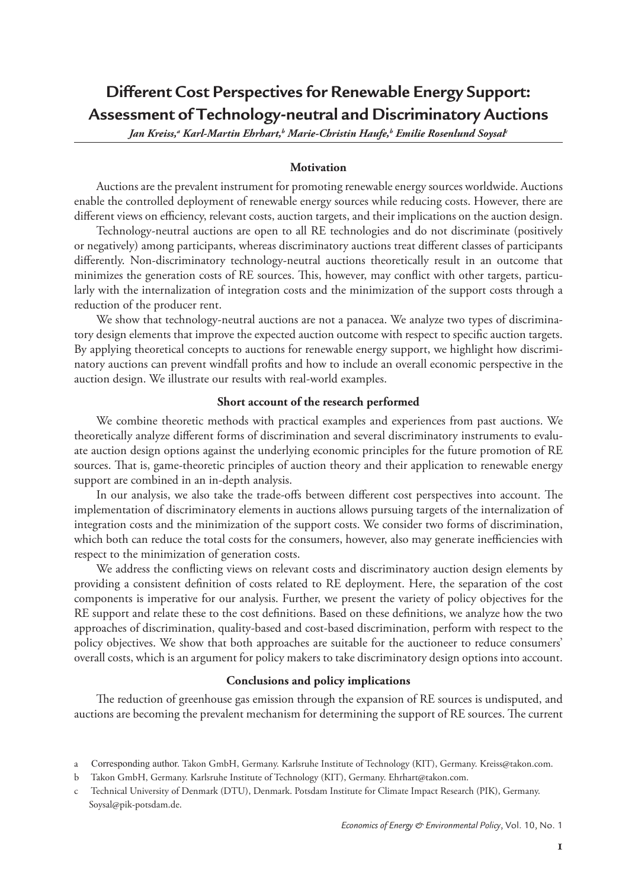**Different Cost Perspectives for Renewable Energy Support: Assessment of Technology-neutral and Discriminatory Auctions**

Jan Kreiss,ª Karl-Martin Ehrhart,<sup>b</sup> Marie-Christin Haufe,<sup>b</sup> Emilie Rosenlund Soysal<sup>t</sup>

## **Motivation**

Auctions are the prevalent instrument for promoting renewable energy sources worldwide. Auctions enable the controlled deployment of renewable energy sources while reducing costs. However, there are different views on efficiency, relevant costs, auction targets, and their implications on the auction design.

Technology-neutral auctions are open to all RE technologies and do not discriminate (positively or negatively) among participants, whereas discriminatory auctions treat different classes of participants differently. Non-discriminatory technology-neutral auctions theoretically result in an outcome that minimizes the generation costs of RE sources. This, however, may conflict with other targets, particularly with the internalization of integration costs and the minimization of the support costs through a reduction of the producer rent.

We show that technology-neutral auctions are not a panacea. We analyze two types of discriminatory design elements that improve the expected auction outcome with respect to specific auction targets. By applying theoretical concepts to auctions for renewable energy support, we highlight how discriminatory auctions can prevent windfall profits and how to include an overall economic perspective in the auction design. We illustrate our results with real-world examples.

## **Short account of the research performed**

We combine theoretic methods with practical examples and experiences from past auctions. We theoretically analyze different forms of discrimination and several discriminatory instruments to evaluate auction design options against the underlying economic principles for the future promotion of RE sources. That is, game-theoretic principles of auction theory and their application to renewable energy support are combined in an in-depth analysis.

In our analysis, we also take the trade-offs between different cost perspectives into account. The implementation of discriminatory elements in auctions allows pursuing targets of the internalization of integration costs and the minimization of the support costs. We consider two forms of discrimination, which both can reduce the total costs for the consumers, however, also may generate inefficiencies with respect to the minimization of generation costs.

We address the conflicting views on relevant costs and discriminatory auction design elements by providing a consistent definition of costs related to RE deployment. Here, the separation of the cost components is imperative for our analysis. Further, we present the variety of policy objectives for the RE support and relate these to the cost definitions. Based on these definitions, we analyze how the two approaches of discrimination, quality-based and cost-based discrimination, perform with respect to the policy objectives. We show that both approaches are suitable for the auctioneer to reduce consumers' overall costs, which is an argument for policy makers to take discriminatory design options into account.

## **Conclusions and policy implications**

The reduction of greenhouse gas emission through the expansion of RE sources is undisputed, and auctions are becoming the prevalent mechanism for determining the support of RE sources. The current

a Corresponding author. Takon GmbH, Germany. Karlsruhe Institute of Technology (KIT), Germany. Kreiss@takon.com.

b Takon GmbH, Germany. Karlsruhe Institute of Technology (KIT), Germany. Ehrhart@takon.com.

c Technical University of Denmark (DTU), Denmark. Potsdam Institute for Climate Impact Research (PIK), Germany. Soysal@pik-potsdam.de.